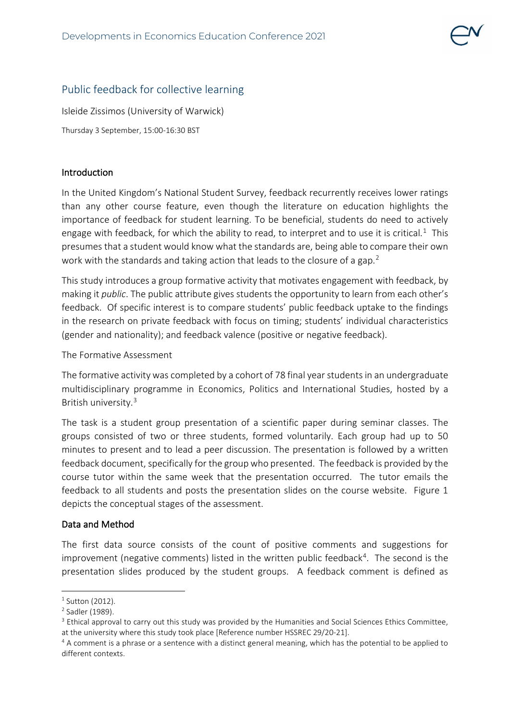# Public feedback for collective learning

Isleide Zissimos (University of Warwick)

Thursday 3 September, 15:00-16:30 BST

#### Introduction

In the United Kingdom's National Student Survey, feedback recurrently receives lower ratings than any other course feature, even though the literature on education highlights the importance of feedback for student learning. To be beneficial, students do need to actively engage with feedback, for which the ability to read, to interpret and to use it is critical.<sup>[1](#page-0-0)</sup> This presumes that a student would know what the standards are, being able to compare their own work with the standards and taking action that leads to the closure of a gap.<sup>2</sup>

This study introduces a group formative activity that motivates engagement with feedback, by making it *public*. The public attribute gives students the opportunity to learn from each other's feedback. Of specific interest is to compare students' public feedback uptake to the findings in the research on private feedback with focus on timing; students' individual characteristics (gender and nationality); and feedback valence (positive or negative feedback).

The Formative Assessment

The formative activity was completed by a cohort of 78 final year students in an undergraduate multidisciplinary programme in Economics, Politics and International Studies, hosted by a British university.[3](#page-0-2) 

The task is a student group presentation of a scientific paper during seminar classes. The groups consisted of two or three students, formed voluntarily. Each group had up to 50 minutes to present and to lead a peer discussion. The presentation is followed by a written feedback document, specifically for the group who presented. The feedback is provided by the course tutor within the same week that the presentation occurred. The tutor emails the feedback to all students and posts the presentation slides on the course website. Figure 1 depicts the conceptual stages of the assessment.

#### Data and Method

The first data source consists of the count of positive comments and suggestions for improvement (negative comments) listed in the written public feedback<sup>4</sup>. The second is the presentation slides produced by the student groups. A feedback comment is defined as

<span id="page-0-0"></span> $1$  Sutton (2012).

<span id="page-0-1"></span><sup>2</sup> Sadler (1989).

<span id="page-0-2"></span><sup>&</sup>lt;sup>3</sup> Ethical approval to carry out this study was provided by the Humanities and Social Sciences Ethics Committee, at the university where this study took place [Reference number HSSREC 29/20-21].

<span id="page-0-3"></span><sup>&</sup>lt;sup>4</sup> A comment is a phrase or a sentence with a distinct general meaning, which has the potential to be applied to different contexts.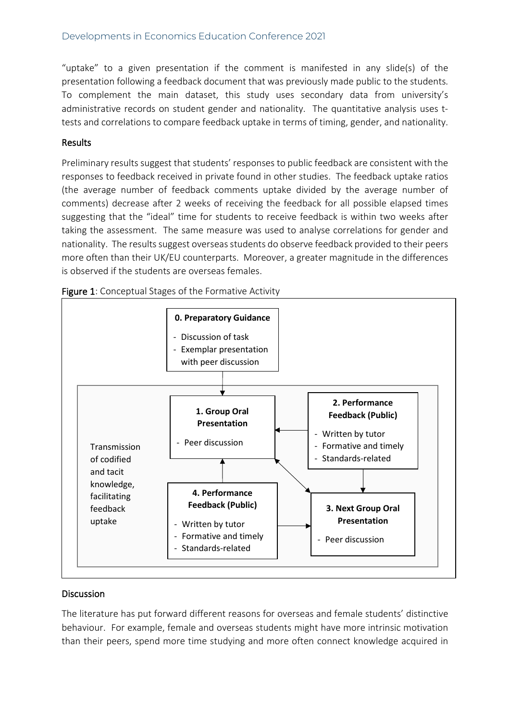"uptake" to a given presentation if the comment is manifested in any slide(s) of the presentation following a feedback document that was previously made public to the students. To complement the main dataset, this study uses secondary data from university's administrative records on student gender and nationality. The quantitative analysis uses ttests and correlations to compare feedback uptake in terms of timing, gender, and nationality.

### Results

Preliminary results suggest that students' responses to public feedback are consistent with the responses to feedback received in private found in other studies. The feedback uptake ratios (the average number of feedback comments uptake divided by the average number of comments) decrease after 2 weeks of receiving the feedback for all possible elapsed times suggesting that the "ideal" time for students to receive feedback is within two weeks after taking the assessment. The same measure was used to analyse correlations for gender and nationality. The results suggest overseas students do observe feedback provided to their peers more often than their UK/EU counterparts. Moreover, a greater magnitude in the differences is observed if the students are overseas females.



Figure 1: Conceptual Stages of the Formative Activity

## **Discussion**

The literature has put forward different reasons for overseas and female students' distinctive behaviour. For example, female and overseas students might have more intrinsic motivation than their peers, spend more time studying and more often connect knowledge acquired in